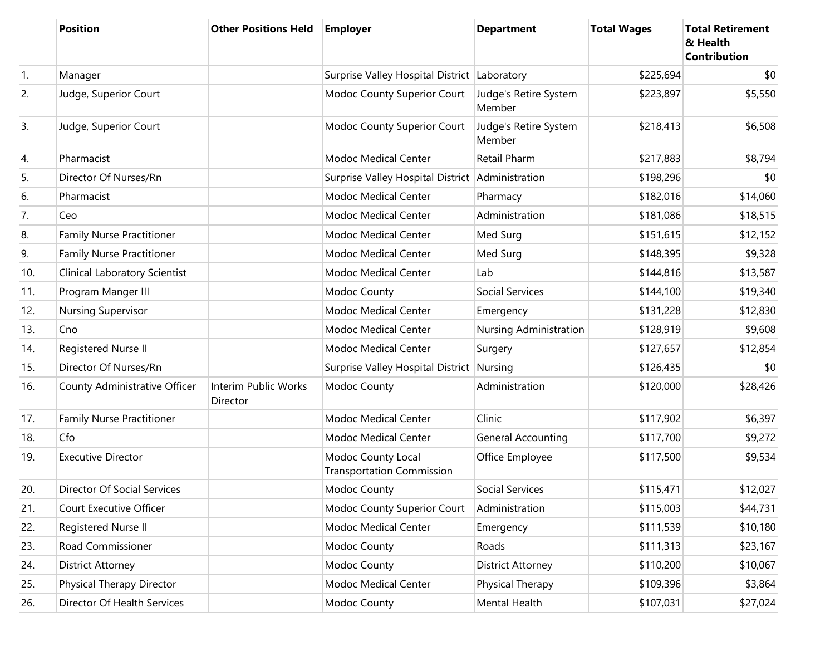|            | <b>Position</b>                  | <b>Other Positions Held</b>      | <b>Employer</b>                                        | <b>Department</b>               | <b>Total Wages</b> | <b>Total Retirement</b><br>& Health<br><b>Contribution</b> |
|------------|----------------------------------|----------------------------------|--------------------------------------------------------|---------------------------------|--------------------|------------------------------------------------------------|
| $\vert$ 1. | Manager                          |                                  | Surprise Valley Hospital District                      | Laboratory                      | \$225,694          | \$0                                                        |
| 2.         | Judge, Superior Court            |                                  | Modoc County Superior Court                            | Judge's Retire System<br>Member | \$223,897          | \$5,550                                                    |
| 3.         | Judge, Superior Court            |                                  | Modoc County Superior Court                            | Judge's Retire System<br>Member | \$218,413          | \$6,508                                                    |
| 4.         | Pharmacist                       |                                  | Modoc Medical Center                                   | Retail Pharm                    | \$217,883          | \$8,794                                                    |
| 5.         | Director Of Nurses/Rn            |                                  | Surprise Valley Hospital District Administration       |                                 | \$198,296          | \$0                                                        |
| 6.         | Pharmacist                       |                                  | Modoc Medical Center                                   | Pharmacy                        | \$182,016          | \$14,060                                                   |
| 7.         | Ceo                              |                                  | Modoc Medical Center                                   | Administration                  | \$181,086          | \$18,515                                                   |
| 8.         | <b>Family Nurse Practitioner</b> |                                  | Modoc Medical Center                                   | Med Surg                        | \$151,615          | \$12,152                                                   |
| 9.         | Family Nurse Practitioner        |                                  | <b>Modoc Medical Center</b>                            | Med Surg                        | \$148,395          | \$9,328                                                    |
| 10.        | Clinical Laboratory Scientist    |                                  | Modoc Medical Center                                   | Lab                             | \$144,816          | \$13,587                                                   |
| 11.        | Program Manger III               |                                  | Modoc County                                           | Social Services                 | \$144,100          | \$19,340                                                   |
| 12.        | <b>Nursing Supervisor</b>        |                                  | Modoc Medical Center                                   | Emergency                       | \$131,228          | \$12,830                                                   |
| 13.        | Cno                              |                                  | Modoc Medical Center                                   | Nursing Administration          | \$128,919          | \$9,608                                                    |
| 14.        | Registered Nurse II              |                                  | Modoc Medical Center                                   | Surgery                         | \$127,657          | \$12,854                                                   |
| 15.        | Director Of Nurses/Rn            |                                  | Surprise Valley Hospital District Nursing              |                                 | \$126,435          | \$0                                                        |
| 16.        | County Administrative Officer    | Interim Public Works<br>Director | Modoc County                                           | Administration                  | \$120,000          | \$28,426                                                   |
| 17.        | Family Nurse Practitioner        |                                  | Modoc Medical Center                                   | Clinic                          | \$117,902          | \$6,397                                                    |
| 18.        | Cfo                              |                                  | Modoc Medical Center                                   | <b>General Accounting</b>       | \$117,700          | \$9,272                                                    |
| 19.        | <b>Executive Director</b>        |                                  | Modoc County Local<br><b>Transportation Commission</b> | Office Employee                 | \$117,500          | \$9,534                                                    |
| 20.        | Director Of Social Services      |                                  | Modoc County                                           | Social Services                 | \$115,471          | \$12,027                                                   |
| 21.        | Court Executive Officer          |                                  | Modoc County Superior Court                            | Administration                  | \$115,003          | \$44,731                                                   |
| 22.        | Registered Nurse II              |                                  | Modoc Medical Center                                   | Emergency                       | \$111,539          | \$10,180                                                   |
| 23.        | Road Commissioner                |                                  | Modoc County                                           | Roads                           | \$111,313          | \$23,167                                                   |
| 24.        | District Attorney                |                                  | Modoc County                                           | District Attorney               | \$110,200          | \$10,067                                                   |
| 25.        | Physical Therapy Director        |                                  | Modoc Medical Center                                   | Physical Therapy                | \$109,396          | \$3,864                                                    |
| 26.        | Director Of Health Services      |                                  | Modoc County                                           | Mental Health                   | \$107,031          | \$27,024                                                   |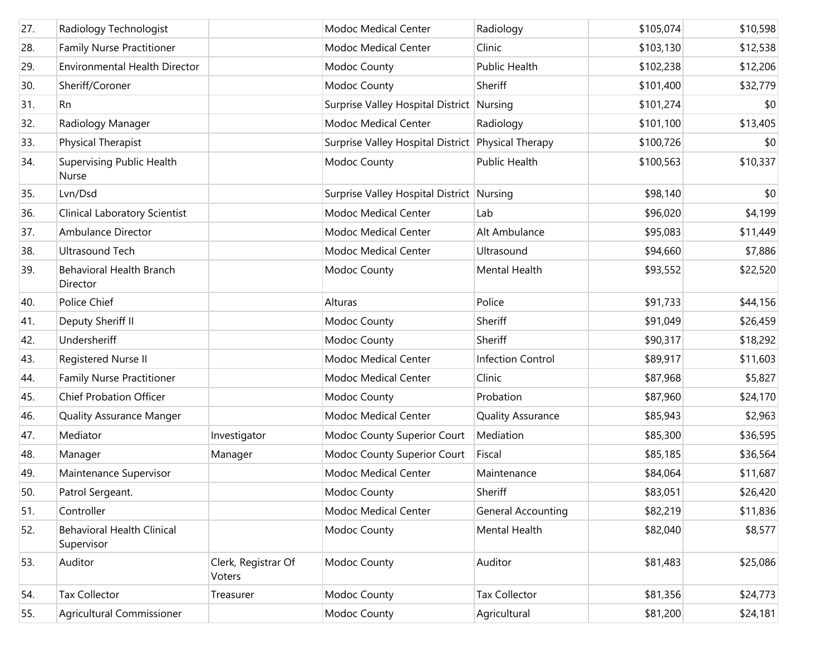| 27. | Radiology Technologist                           |                               | Modoc Medical Center                               | Radiology                | \$105,074 | \$10,598 |
|-----|--------------------------------------------------|-------------------------------|----------------------------------------------------|--------------------------|-----------|----------|
| 28. | <b>Family Nurse Practitioner</b>                 |                               | Modoc Medical Center                               | Clinic                   | \$103,130 | \$12,538 |
| 29. | <b>Environmental Health Director</b>             |                               | Modoc County                                       | Public Health            | \$102,238 | \$12,206 |
| 30. | Sheriff/Coroner                                  |                               | Modoc County                                       | Sheriff                  | \$101,400 | \$32,779 |
| 31. | l Rn                                             |                               | Surprise Valley Hospital District Nursing          |                          | \$101,274 | \$0      |
| 32. | Radiology Manager                                |                               | Modoc Medical Center                               | Radiology                | \$101,100 | \$13,405 |
| 33. | Physical Therapist                               |                               | Surprise Valley Hospital District Physical Therapy |                          | \$100,726 | \$0      |
| 34. | <b>Supervising Public Health</b><br><b>Nurse</b> |                               | Modoc County                                       | Public Health            | \$100,563 | \$10,337 |
| 35. | Lvn/Dsd                                          |                               | Surprise Valley Hospital District Nursing          |                          | \$98,140  | \$0      |
| 36. | <b>Clinical Laboratory Scientist</b>             |                               | Modoc Medical Center                               | Lab                      | \$96,020  | \$4,199  |
| 37. | Ambulance Director                               |                               | <b>Modoc Medical Center</b>                        | Alt Ambulance            | \$95,083  | \$11,449 |
| 38. | <b>Ultrasound Tech</b>                           |                               | Modoc Medical Center                               | Ultrasound               | \$94,660  | \$7,886  |
| 39. | <b>Behavioral Health Branch</b><br>Director      |                               | Modoc County                                       | Mental Health            | \$93,552  | \$22,520 |
| 40. | Police Chief                                     |                               | Alturas                                            | Police                   | \$91,733  | \$44,156 |
| 41. | Deputy Sheriff II                                |                               | Modoc County                                       | Sheriff                  | \$91,049  | \$26,459 |
| 42. | Undersheriff                                     |                               | Modoc County                                       | Sheriff                  | \$90,317  | \$18,292 |
| 43. | Registered Nurse II                              |                               | Modoc Medical Center                               | Infection Control        | \$89,917  | \$11,603 |
| 44. | <b>Family Nurse Practitioner</b>                 |                               | Modoc Medical Center                               | Clinic                   | \$87,968  | \$5,827  |
| 45. | <b>Chief Probation Officer</b>                   |                               | Modoc County                                       | Probation                | \$87,960  | \$24,170 |
| 46. | <b>Quality Assurance Manger</b>                  |                               | Modoc Medical Center                               | <b>Quality Assurance</b> | \$85,943  | \$2,963  |
| 47. | Mediator                                         | Investigator                  | Modoc County Superior Court                        | Mediation                | \$85,300  | \$36,595 |
| 48. | Manager                                          | Manager                       | Modoc County Superior Court                        | Fiscal                   | \$85,185  | \$36,564 |
| 49. | Maintenance Supervisor                           |                               | Modoc Medical Center                               | Maintenance              | \$84,064  | \$11,687 |
| 50. | Patrol Sergeant.                                 |                               | Modoc County                                       | Sheriff                  | \$83,051  | \$26,420 |
| 51. | Controller                                       |                               | Modoc Medical Center                               | General Accounting       | \$82,219  | \$11,836 |
| 52. | <b>Behavioral Health Clinical</b><br>Supervisor  |                               | Modoc County                                       | Mental Health            | \$82,040  | \$8,577  |
| 53. | Auditor                                          | Clerk, Registrar Of<br>Voters | Modoc County                                       | Auditor                  | \$81,483  | \$25,086 |
| 54. | <b>Tax Collector</b>                             | Treasurer                     | Modoc County                                       | Tax Collector            | \$81,356  | \$24,773 |
| 55. | Agricultural Commissioner                        |                               | Modoc County                                       | Agricultural             | \$81,200  | \$24,181 |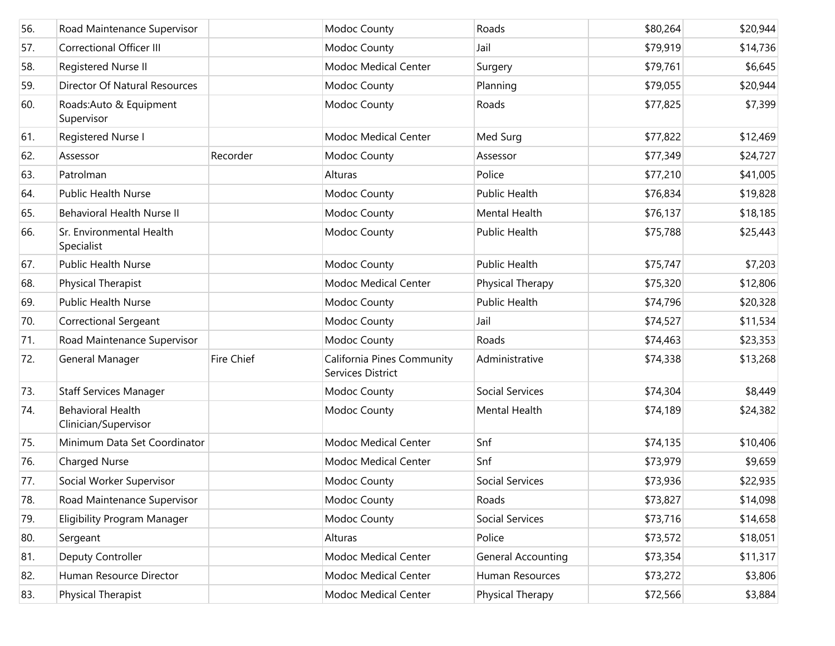| 56. | Road Maintenance Supervisor                      |                   | Modoc County                                    | Roads                     | \$80,264 | \$20,944 |
|-----|--------------------------------------------------|-------------------|-------------------------------------------------|---------------------------|----------|----------|
| 57. | <b>Correctional Officer III</b>                  |                   | Modoc County                                    | Jail                      | \$79,919 | \$14,736 |
| 58. | Registered Nurse II                              |                   | Modoc Medical Center                            | Surgery                   | \$79,761 | \$6,645  |
| 59. | <b>Director Of Natural Resources</b>             |                   | Modoc County                                    | Planning                  | \$79,055 | \$20,944 |
| 60. | Roads: Auto & Equipment<br>Supervisor            |                   | Modoc County                                    | Roads                     | \$77,825 | \$7,399  |
| 61. | Registered Nurse I                               |                   | <b>Modoc Medical Center</b>                     | Med Surg                  | \$77,822 | \$12,469 |
| 62. | Assessor                                         | Recorder          | Modoc County                                    | Assessor                  | \$77,349 | \$24,727 |
| 63. | Patrolman                                        |                   | Alturas                                         | Police                    | \$77,210 | \$41,005 |
| 64. | <b>Public Health Nurse</b>                       |                   | Modoc County                                    | <b>Public Health</b>      | \$76,834 | \$19,828 |
| 65. | Behavioral Health Nurse II                       |                   | Modoc County                                    | Mental Health             | \$76,137 | \$18,185 |
| 66. | Sr. Environmental Health<br>Specialist           |                   | Modoc County                                    | Public Health             | \$75,788 | \$25,443 |
| 67. | <b>Public Health Nurse</b>                       |                   | Modoc County                                    | Public Health             | \$75,747 | \$7,203  |
| 68. | <b>Physical Therapist</b>                        |                   | <b>Modoc Medical Center</b>                     | Physical Therapy          | \$75,320 | \$12,806 |
| 69. | <b>Public Health Nurse</b>                       |                   | Modoc County                                    | Public Health             | \$74,796 | \$20,328 |
| 70. | <b>Correctional Sergeant</b>                     |                   | Modoc County                                    | Jail                      | \$74,527 | \$11,534 |
| 71. | Road Maintenance Supervisor                      |                   | Modoc County                                    | Roads                     | \$74,463 | \$23,353 |
| 72. | General Manager                                  | <b>Fire Chief</b> | California Pines Community<br>Services District | Administrative            | \$74,338 | \$13,268 |
| 73. | <b>Staff Services Manager</b>                    |                   | Modoc County                                    | <b>Social Services</b>    | \$74,304 | \$8,449  |
| 74. | <b>Behavioral Health</b><br>Clinician/Supervisor |                   | Modoc County                                    | Mental Health             | \$74,189 | \$24,382 |
| 75. | Minimum Data Set Coordinator                     |                   | <b>Modoc Medical Center</b>                     | Snf                       | \$74,135 | \$10,406 |
| 76. | <b>Charged Nurse</b>                             |                   | Modoc Medical Center                            | Snf                       | \$73,979 | \$9,659  |
| 77. | Social Worker Supervisor                         |                   | Modoc County                                    | Social Services           | \$73,936 | \$22,935 |
| 78. | Road Maintenance Supervisor                      |                   | Modoc County                                    | Roads                     | \$73,827 | \$14,098 |
| 79. | <b>Eligibility Program Manager</b>               |                   | Modoc County                                    | Social Services           | \$73,716 | \$14,658 |
| 80. | Sergeant                                         |                   | Alturas                                         | Police                    | \$73,572 | \$18,051 |
| 81. | Deputy Controller                                |                   | Modoc Medical Center                            | <b>General Accounting</b> | \$73,354 | \$11,317 |
| 82. | Human Resource Director                          |                   | Modoc Medical Center                            | Human Resources           | \$73,272 | \$3,806  |
| 83. | Physical Therapist                               |                   | Modoc Medical Center                            | Physical Therapy          | \$72,566 | \$3,884  |